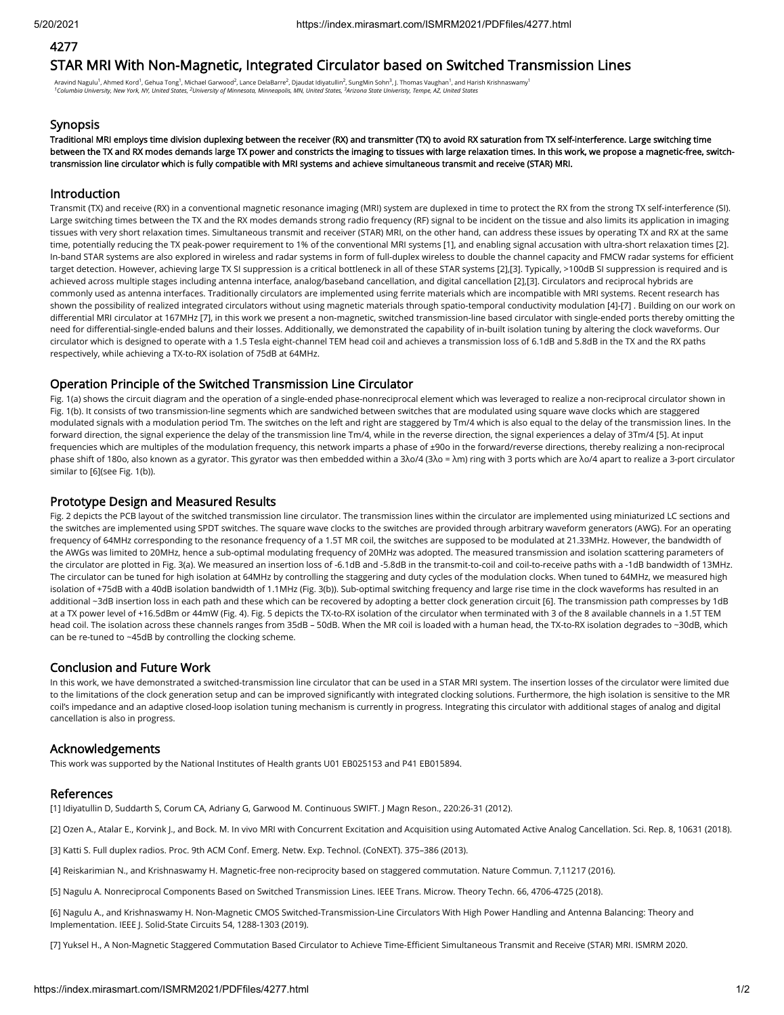# 4277

# STAR MRI With Non-Magnetic, Integrated Circulator based on Switched Transmission Lines

Aravind Nagulu<sup>1</sup>, Ahmed Kord<sup>1</sup>, Gehua Tong<sup>1</sup>, Michael Garwood<sup>2</sup>, Lance DelaBarre<sup>2</sup>, Djaudat Idiyatullin<sup>2</sup>, SungMin Sohn<sup>3</sup>, J. Thomas Vaughan<sup>1</sup>, and Harish Krishnaswamy<sup>1</sup> *Columbia University, New York, NY, United States, University of Minnesota, Minneapolis, MN, United States, Arizona State Univeristy, Tempe, AZ, United States 1 2 3*

#### **Synopsis**

Traditional MRI employs time division duplexing between the receiver (RX) and transmitter (TX) to avoid RX saturation from TX self-interference. Large switching time between the TX and RX modes demands large TX power and constricts the imaging to tissues with large relaxation times. In this work, we propose a magnetic-free, switchtransmission line circulator which is fully compatible with MRI systems and achieve simultaneous transmit and receive (STAR) MRI.

### Introduction

Transmit (TX) and receive (RX) in a conventional magnetic resonance imaging (MRI) system are duplexed in time to protect the RX from the strong TX self-interference (SI). Large switching times between the TX and the RX modes demands strong radio frequency (RF) signal to be incident on the tissue and also limits its application in imaging tissues with very short relaxation times. Simultaneous transmit and receiver (STAR) MRI, on the other hand, can address these issues by operating TX and RX at the same time, potentially reducing the TX peak-power requirement to 1% of the conventional MRI systems [1], and enabling signal accusation with ultra-short relaxation times [2]. In-band STAR systems are also explored in wireless and radar systems in form of full-duplex wireless to double the channel capacity and FMCW radar systems for efficient target detection. However, achieving large TX SI suppression is a critical bottleneck in all of these STAR systems [2],[3]. Typically, >100dB SI suppression is required and is achieved across multiple stages including antenna interface, analog/baseband cancellation, and digital cancellation [2],[3]. Circulators and reciprocal hybrids are commonly used as antenna interfaces. Traditionally circulators are implemented using ferrite materials which are incompatible with MRI systems. Recent research has shown the possibility of realized integrated circulators without using magnetic materials through spatio-temporal conductivity modulation [4]-[7] . Building on our work on differential MRI circulator at 167MHz [7], in this work we present a non-magnetic, switched transmission-line based circulator with single-ended ports thereby omitting the need for differential-single-ended baluns and their losses. Additionally, we demonstrated the capability of in-built isolation tuning by altering the clock waveforms. Our circulator which is designed to operate with a 1.5 Tesla eight-channel TEM head coil and achieves a transmission loss of 6.1dB and 5.8dB in the TX and the RX paths respectively, while achieving a TX-to-RX isolation of 75dB at 64MHz.

#### Operation Principle of the Switched Transmission Line Circulator

Fig. 1(a) shows the circuit diagram and the operation of a single-ended phase-nonreciprocal element which was leveraged to realize a non-reciprocal circulator shown in Fig. 1(b). It consists of two transmission-line segments which are sandwiched between switches that are modulated using square wave clocks which are staggered modulated signals with a modulation period Tm. The switches on the left and right are staggered by Tm/4 which is also equal to the delay of the transmission lines. In the forward direction, the signal experience the delay of the transmission line Tm/4, while in the reverse direction, the signal experiences a delay of 3Tm/4 [5]. At input frequencies which are multiples of the modulation frequency, this network imparts a phase of ±90o in the forward/reverse directions, thereby realizing a non-reciprocal phase shift of 180o, also known as a gyrator. This gyrator was then embedded within a 3λo/4 (3λo = λm) ring with 3 ports which are λo/4 apart to realize a 3-port circulator similar to [6](see Fig. 1(b)).

## Prototype Design and Measured Results

Fig. 2 depicts the PCB layout of the switched transmission line circulator. The transmission lines within the circulator are implemented using miniaturized LC sections and the switches are implemented using SPDT switches. The square wave clocks to the switches are provided through arbitrary waveform generators (AWG). For an operating frequency of 64MHz corresponding to the resonance frequency of a 1.5T MR coil, the switches are supposed to be modulated at 21.33MHz. However, the bandwidth of the AWGs was limited to 20MHz, hence a sub-optimal modulating frequency of 20MHz was adopted. The measured transmission and isolation scattering parameters of the circulator are plotted in Fig. 3(a). We measured an insertion loss of -6.1dB and -5.8dB in the transmit-to-coil and coil-to-receive paths with a -1dB bandwidth of 13MHz. The circulator can be tuned for high isolation at 64MHz by controlling the staggering and duty cycles of the modulation clocks. When tuned to 64MHz, we measured high isolation of +75dB with a 40dB isolation bandwidth of 1.1MHz (Fig. 3(b)). Sub-optimal switching frequency and large rise time in the clock waveforms has resulted in an additional ~3dB insertion loss in each path and these which can be recovered by adopting a better clock generation circuit [6]. The transmission path compresses by 1dB at a TX power level of +16.5dBm or 44mW (Fig. 4). Fig. 5 depicts the TX-to-RX isolation of the circulator when terminated with 3 of the 8 available channels in a 1.5T TEM head coil. The isolation across these channels ranges from 35dB - 50dB. When the MR coil is loaded with a human head, the TX-to-RX isolation degrades to ~30dB, which can be re-tuned to ~45dB by controlling the clocking scheme.

## Conclusion and Future Work

In this work, we have demonstrated a switched-transmission line circulator that can be used in a STAR MRI system. The insertion losses of the circulator were limited due to the limitations of the clock generation setup and can be improved significantly with integrated clocking solutions. Furthermore, the high isolation is sensitive to the MR coil's impedance and an adaptive closed-loop isolation tuning mechanism is currently in progress. Integrating this circulator with additional stages of analog and digital cancellation is also in progress.

## Acknowledgements

This work was supported by the National Institutes of Health grants U01 EB025153 and P41 EB015894.

#### References

[1] Idiyatullin D, Suddarth S, Corum CA, Adriany G, Garwood M. Continuous SWIFT. J Magn Reson., 220:26-31 (2012).

[2] Ozen A., Atalar E., Korvink J., and Bock. M. In vivo MRI with Concurrent Excitation and Acquisition using Automated Active Analog Cancellation. Sci. Rep. 8, 10631 (2018).

[3] Katti S. Full duplex radios. Proc. 9th ACM Conf. Emerg. Netw. Exp. Technol. (CoNEXT). 375–386 (2013).

[4] Reiskarimian N., and Krishnaswamy H. Magnetic-free non-reciprocity based on staggered commutation. Nature Commun. 7,11217 (2016).

[5] Nagulu A. Nonreciprocal Components Based on Switched Transmission Lines. IEEE Trans. Microw. Theory Techn. 66, 4706-4725 (2018).

[6] Nagulu A., and Krishnaswamy H. Non-Magnetic CMOS Switched-Transmission-Line Circulators With High Power Handling and Antenna Balancing: Theory and Implementation. IEEE J. Solid-State Circuits 54, 1288-1303 (2019).

[7] Yuksel H., A Non-Magnetic Staggered Commutation Based Circulator to Achieve Time-Ecient Simultaneous Transmit and Receive (STAR) MRI. ISMRM 2020.